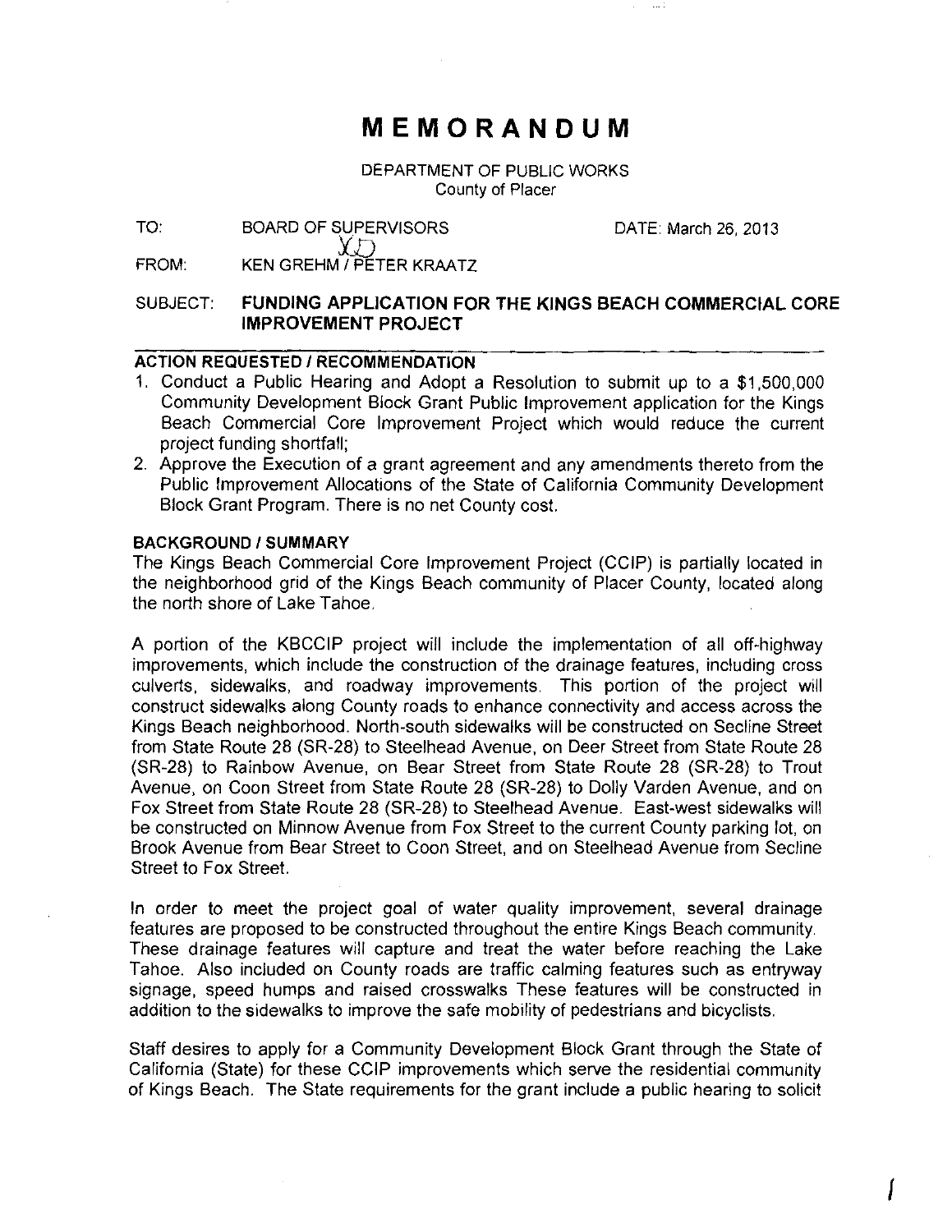# **MEMORANDUM**

DEPARTMENT OF PUBLIC WORKS County of Placer

TO: BOARD OF SUPERVISORS

DATE: March 26, 2013

I

FROM: KEN GREHM / PETER KRAATZ

YD

### SUBJECT: **FUNDING APPLICATION FOR THE KINGS BEACH COMMERCIAL CORE IMPROVEMENT PROJECT**

# **ACTION REQUESTED I RECOMMENDATION**

- 1. Conduct a Public Hearing and Adopt a Resolution to submit up to a \$1,500,000 Community Development Block Grant Public Improvement application for the Kings Beach Commercial Core Improvement Project which would reduce the current project funding shortfall;
- 2. Approve the Execution of a grant agreement and any amendments thereto from the Public Improvement Allocations of the State of California Community Development Block Grant Program. There is no net County cost.

#### **BACKGROUND/SUMMARY**

The Kings Beach Commercial Core Improvement Project (CCIP) is partially located in the neighborhood grid of the Kings Beach community of Placer County, located along the north shore of Lake Tahoe.

A portion of the KBCCIP project will include the implementation of all off-highway improvements, which include the construction of the drainage features, including cross culverts, sidewalks, and roadway improvements. This portion of the project will construct sidewalks along County roads to enhance connectivity and access across the Kings Beach neighborhood. North-south sidewalks will be constructed on Secline Street from State Route 28 (SR-28) to Steelhead Avenue, on Deer Street from State Route 28 (SR-28) to Rainbow Avenue, on Bear Street from State Route 28 (SR-28) to Trout Avenue, on Coon Street from State Route 28 (SR-28) to Dolly Varden Avenue, and on Fox Street from State Route 28 (SR-28) to Steelhead Avenue. East-west sidewalks will be constructed on Minnow Avenue from Fox Street to the current County parking lot, on Brook Avenue from Bear Street to Coon Street, and on Steelhead Avenue from Secline Street to Fox Street.

In order to meet the project goal of water quality improvement, several drainage features are proposed to be constructed throughout the entire Kings Beach community. These drainage features will capture and treat the water before reaching the Lake Tahoe. Also included on County roads are traffic calming features such as entryway signage, speed humps and raised crosswalks These features will be constructed in addition to the sidewalks to improve the safe mobility of pedestrians and bicyclists.

Staff desires to apply for a Community Development Block Grant through the State of California (State) for these CCIP improvements which serve the residential community of Kings Beach. The State requirements for the grant include a public hearing to solicit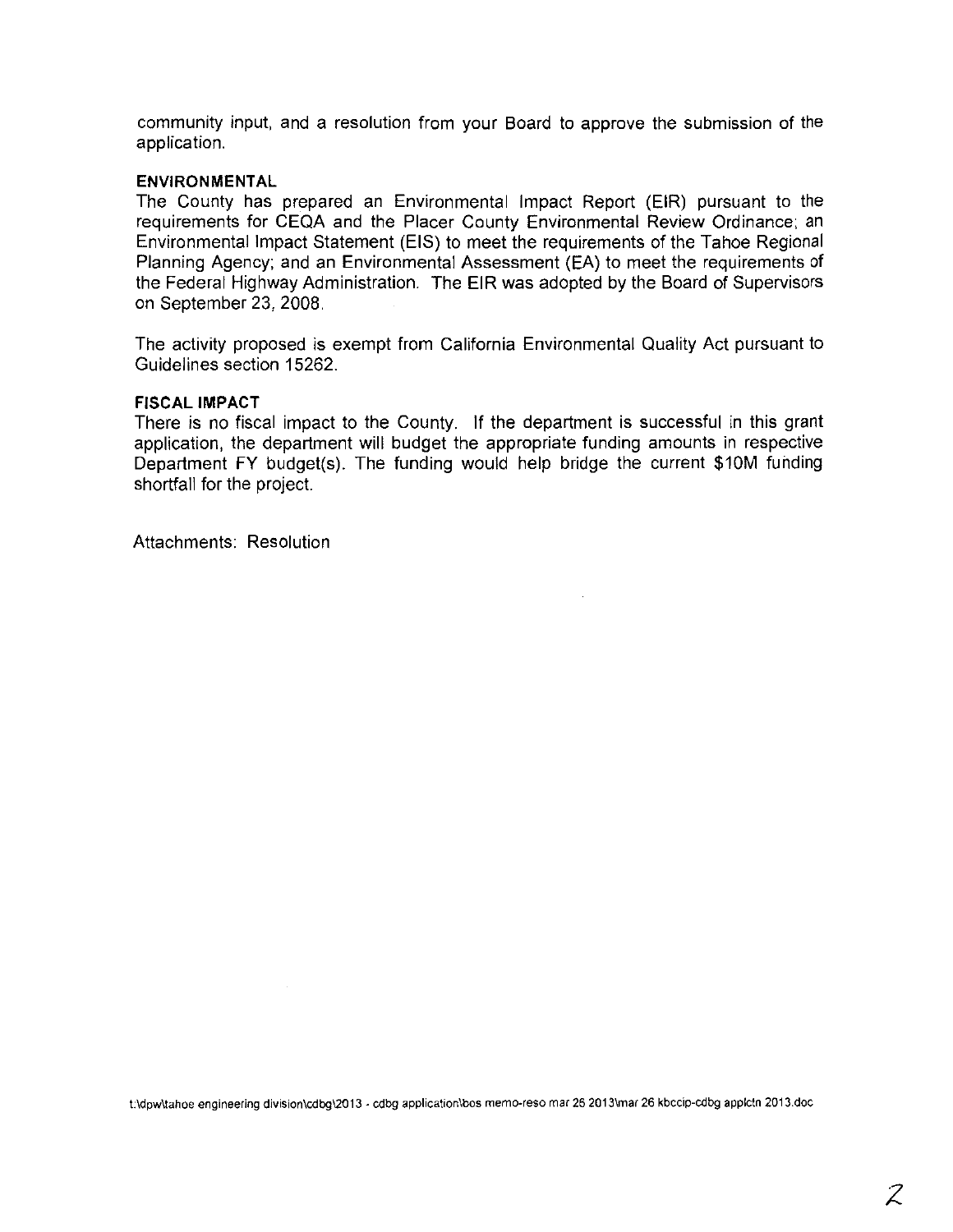community input, and a resolution from your Board to approve the submission of the application.

### **ENVIRONMENTAL**

The County has prepared an Environmental Impact Report (EIR) pursuant to the requirements for CEQA and the Placer County Environmental Review Ordinance; an Environmental Impact Statement (EIS) to meet the requirements of the Tahoe Regional Planning Agency; and an Environmental Assessment (EA) to meet the requirements of the Federal Highway Administration. The EIR was adopted by the Board of Supervisors on September 23,2008.

The activity proposed is exempt from California Environmental Quality Act pursuant to Guidelines section 15262.

### **FISCAL IMPACT**

There is no fiscal impact to the County. If the department is successful in this grant application, the department will budget the appropriate funding amounts in respective Department FY budget(s). The funding would help bridge the current \$10M funding shortfall for the project.

Attachments: Resolution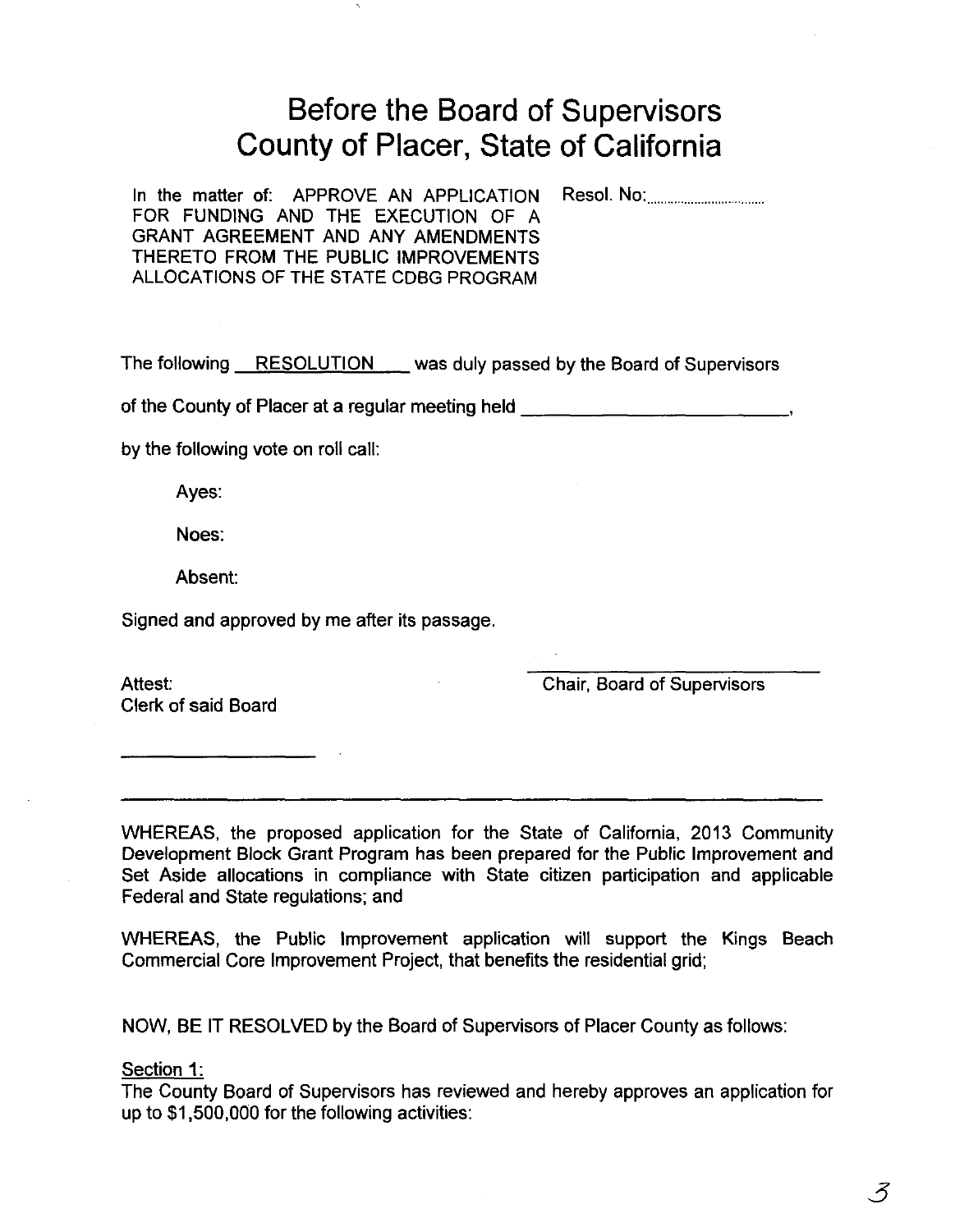# **Before the Board of Supervisors County of Placer, State of California**

In the matter of: APPROVE AN APPLICATION Resol. No: FOR FUNDING AND THE EXECUTION OF A GRANT AGREEMENT AND ANY AMENDMENTS THERETO FROM THE PUBLIC IMPROVEMENTS ALLOCATIONS OF THE STATE CDBG PROGRAM

The following RESOLUTION was duly passed by the Board of Supervisors

of the County of Placer at a regular meeting held \_\_\_\_\_\_\_\_\_\_\_\_\_\_\_\_\_\_\_\_\_\_\_\_\_\_\_\_\_\_

by the following vote on roll call:

Ayes:

Noes:

Absent:

Signed and approved by me after its passage.

Attest: Clerk of said Board Chair, Board of Supervisors

WHEREAS, the proposed application for the State of California, 2013 Community Development Block Grant Program has been prepared for the Public Improvement and Set Aside allocations in compliance with State citizen participation and applicable Federal and State regulations; and

WHEREAS, the Public Improvement application will support the Kings Beach Commercial Core Improvement Project, that benefits the residential grid;

NOW, BE IT RESOLVED by the Board of Supervisors of Placer County as follows:

### Section 1:

The County Board of Supervisors has reviewed and hereby approves an application for up to \$1,500,000 for the following activities: